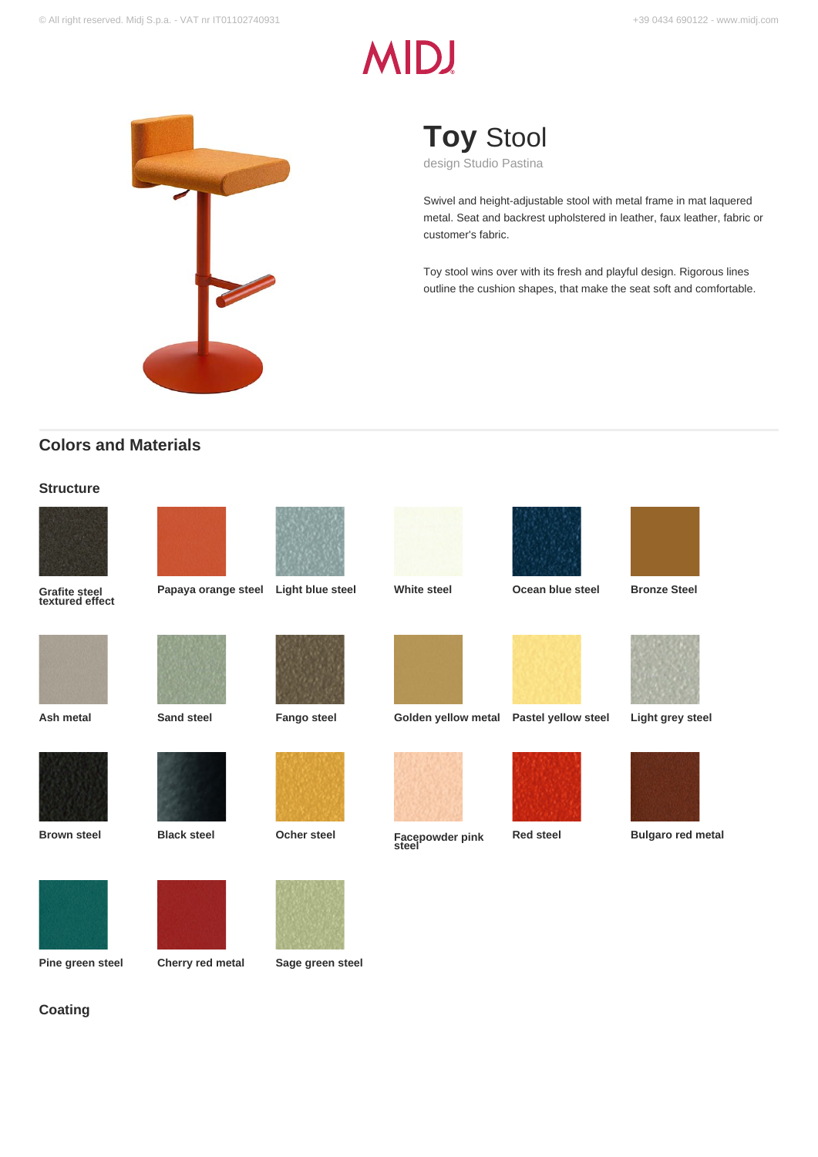# **MIDJ**



**Toy** Stool

design Studio Pastina

Swivel and height-adjustable stool with metal frame in mat laquered metal. Seat and backrest upholstered in leather, faux leather, fabric or customer's fabric.

Toy stool wins over with its fresh and playful design. Rigorous lines outline the cushion shapes, that make the seat soft and comfortable.

# **Colors and Materials**

### **Structure**



**Grafite steel textured effect**



**Papaya orange steel Light blue steel White steel Ocean blue steel Bronze Steel**





























**Red steel Bulgaro red metal**

**Coating**



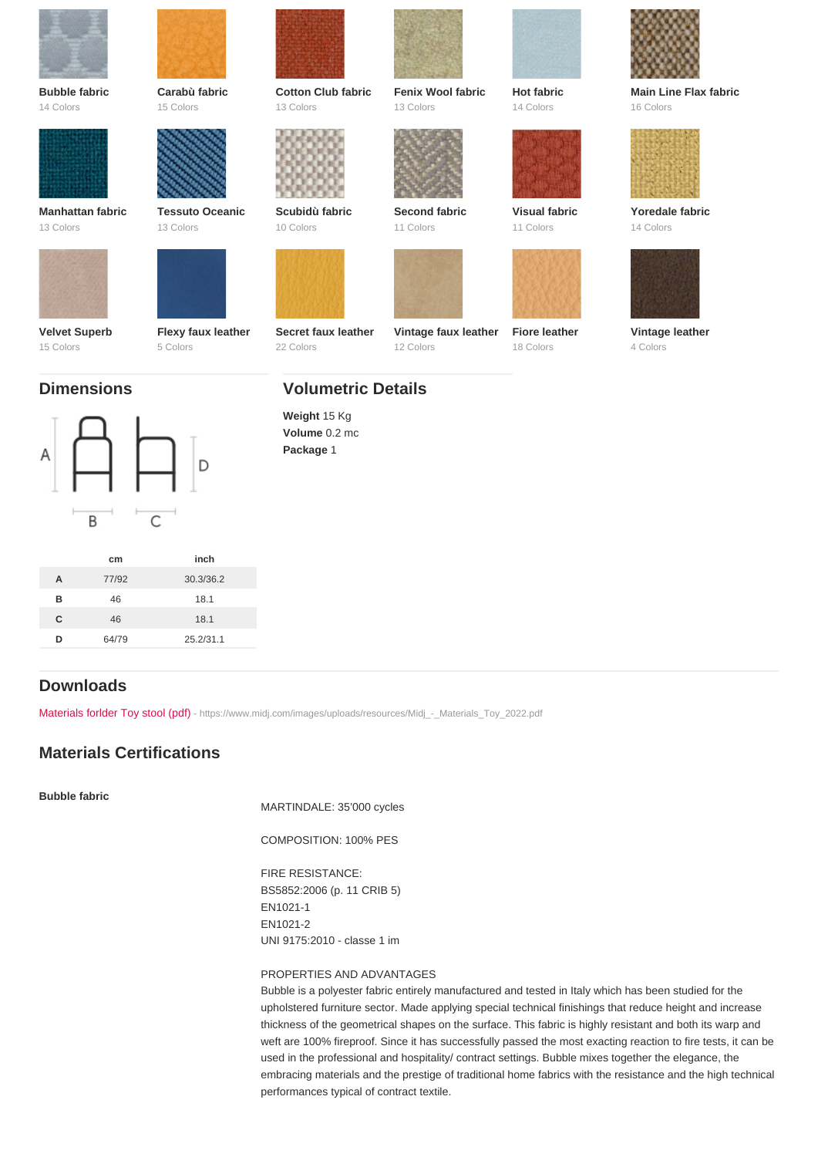| <b>Bubble fabric</b>                            | Carabù fabric                  | Cotton Club fabric                                            | Fenix Wool fabric                 | Hot fabric                 | Main Line Flax fabric       |
|-------------------------------------------------|--------------------------------|---------------------------------------------------------------|-----------------------------------|----------------------------|-----------------------------|
| 14 Colors                                       | 15 Colors                      | 13 Colors                                                     | 13 Colors                         | 14 Colors                  | 16 Colors                   |
| Manhattan fabric                                | <b>Tessuto Oceanic</b>         | Scubidù fabric                                                | Second fabric                     | Visual fabric              | Yoredale fabric             |
| 13 Colors                                       | 13 Colors                      | 10 Colors                                                     | 11 Colors                         | 11 Colors                  | 14 Colors                   |
| Velvet Superb<br>15 Colors<br><b>Dimensions</b> | Flexy faux leather<br>5 Colors | Secret faux leather<br>22 Colors<br><b>Volumetric Details</b> | Vintage faux leather<br>12 Colors | Fiore leather<br>18 Colors | Vintage leather<br>4 Colors |
|                                                 |                                | Weight 15 Kg<br>Volume 0.2 mc<br>Package 1                    |                                   |                            |                             |

|   | cm    | inch      |
|---|-------|-----------|
| A | 77/92 | 30.3/36.2 |
| R | 46    | 18.1      |
| C | 46    | 18.1      |
| D | 64/79 | 25.2/31.1 |

# Downloads

[Materials forlder Toy stool \(pdf\)](https://www.midj.com/images/uploads/resources/Midj_-_Materials_Toy_2022.pdf) [- https://www.midj.com/images/uploads/resources/Midj\\_-\\_Materials\\_Toy\\_2022.pdf](https://www.midj.com/images/uploads/resources/Midj_-_Materials_Toy_2022.pdf)

# Materials Certifications

Bubble fabric

MARTINDALE: 35'000 cycles

COMPOSITION: 100% PES

FIRE RESISTANCE: BS5852:2006 (p. 11 CRIB 5) EN1021-1 EN1021-2 UNI 9175:2010 - classe 1 im

### PROPERTIES AND ADVANTAGES

Bubble is a polyester fabric entirely manufactured and tested in Italy which has been studied for the upholstered furniture sector. Made applying special technical finishings that reduce height and increase thickness of the geometrical shapes on the surface. This fabric is highly resistant and both its warp and weft are 100% fireproof. Since it has successfully passed the most exacting reaction to fire tests, it can be used in the professional and hospitality/ contract settings. Bubble mixes together the elegance, the embracing materials and the prestige of traditional home fabrics with the resistance and the high technical performances typical of contract textile.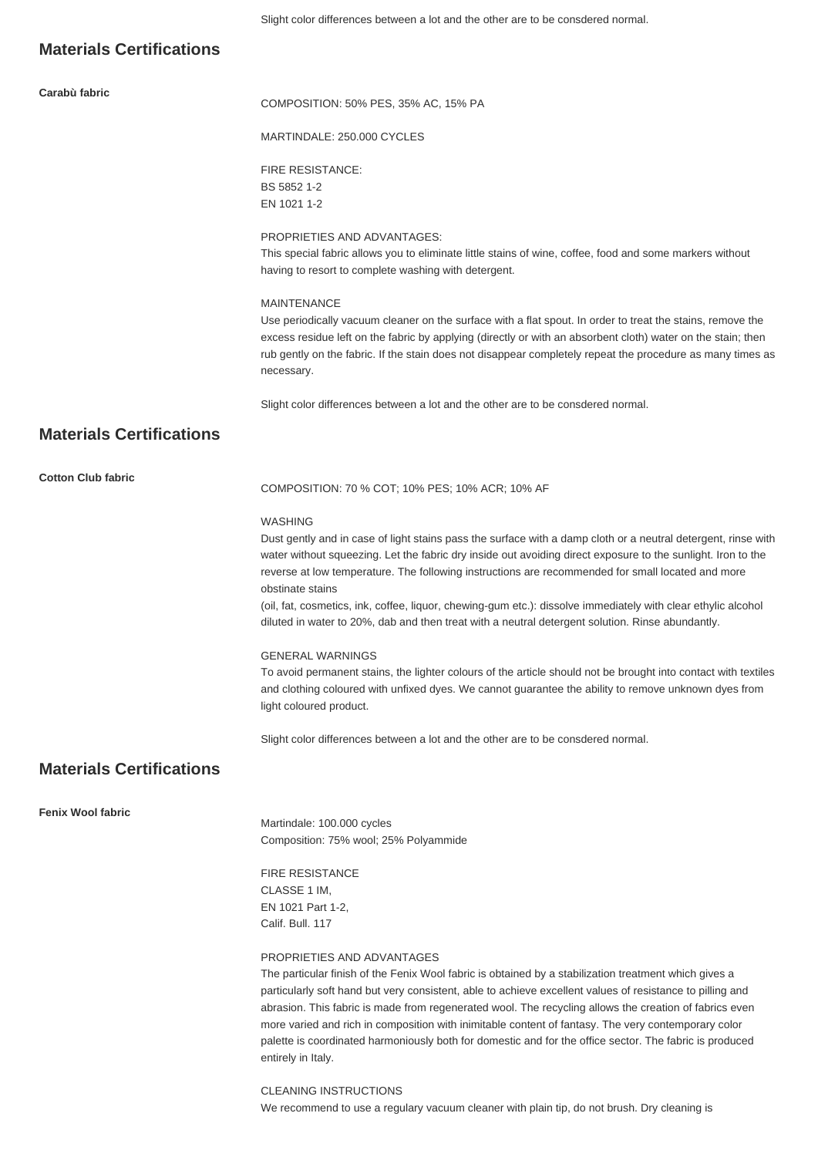### **Materials Certifications**

**Carabù fabric**

COMPOSITION: 50% PES, 35% AC, 15% PA

MARTINDALE: 250.000 CYCLES

FIRE RESISTANCE: BS 5852 1-2 EN 1021 1-2

### PROPRIETIES AND ADVANTAGES:

This special fabric allows you to eliminate little stains of wine, coffee, food and some markers without having to resort to complete washing with detergent.

#### MAINTENANCE

Use periodically vacuum cleaner on the surface with a flat spout. In order to treat the stains, remove the excess residue left on the fabric by applying (directly or with an absorbent cloth) water on the stain; then rub gently on the fabric. If the stain does not disappear completely repeat the procedure as many times as necessary.

Slight color differences between a lot and the other are to be consdered normal.

# **Materials Certifications**

**Cotton Club fabric**

COMPOSITION: 70 % COT; 10% PES; 10% ACR; 10% AF

### WASHING

Dust gently and in case of light stains pass the surface with a damp cloth or a neutral detergent, rinse with water without squeezing. Let the fabric dry inside out avoiding direct exposure to the sunlight. Iron to the reverse at low temperature. The following instructions are recommended for small located and more obstinate stains

(oil, fat, cosmetics, ink, coffee, liquor, chewing-gum etc.): dissolve immediately with clear ethylic alcohol diluted in water to 20%, dab and then treat with a neutral detergent solution. Rinse abundantly.

### GENERAL WARNINGS

To avoid permanent stains, the lighter colours of the article should not be brought into contact with textiles and clothing coloured with unfixed dyes. We cannot guarantee the ability to remove unknown dyes from light coloured product.

Slight color differences between a lot and the other are to be consdered normal.

# **Materials Certifications**

**Fenix Wool fabric**

Martindale: 100.000 cycles Composition: 75% wool; 25% Polyammide

FIRE RESISTANCE CLASSE 1 IM, EN 1021 Part 1-2, Calif. Bull. 117

### PROPRIETIES AND ADVANTAGES

The particular finish of the Fenix Wool fabric is obtained by a stabilization treatment which gives a particularly soft hand but very consistent, able to achieve excellent values of resistance to pilling and abrasion. This fabric is made from regenerated wool. The recycling allows the creation of fabrics even more varied and rich in composition with inimitable content of fantasy. The very contemporary color palette is coordinated harmoniously both for domestic and for the office sector. The fabric is produced entirely in Italy.

CLEANING INSTRUCTIONS We recommend to use a regulary vacuum cleaner with plain tip, do not brush. Dry cleaning is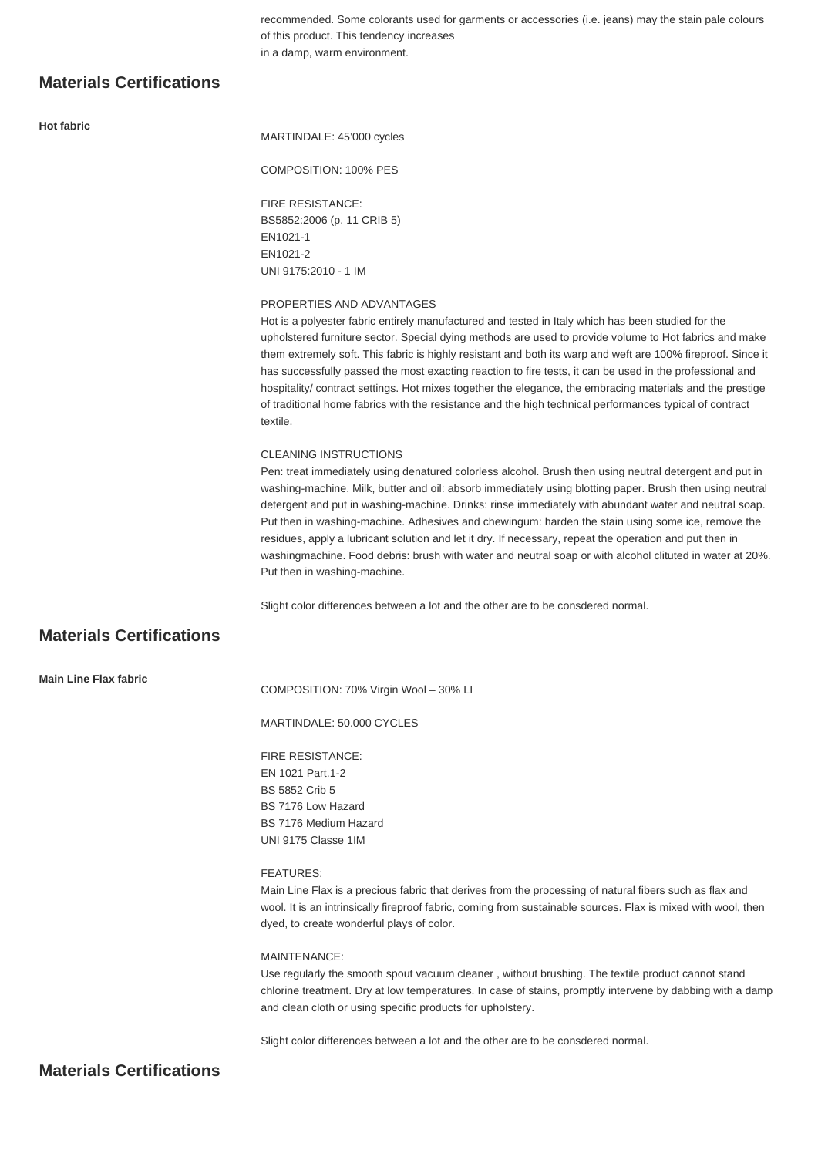recommended. Some colorants used for garments or accessories (i.e. jeans) may the stain pale colours of this product. This tendency increases in a damp, warm environment.

# **Materials Certifications**

**Hot fabric**

MARTINDALE: 45'000 cycles

COMPOSITION: 100% PES

FIRE RESISTANCE: BS5852:2006 (p. 11 CRIB 5) EN1021-1 EN1021-2 UNI 9175:2010 - 1 IM

### PROPERTIES AND ADVANTAGES

Hot is a polyester fabric entirely manufactured and tested in Italy which has been studied for the upholstered furniture sector. Special dying methods are used to provide volume to Hot fabrics and make them extremely soft. This fabric is highly resistant and both its warp and weft are 100% fireproof. Since it has successfully passed the most exacting reaction to fire tests, it can be used in the professional and hospitality/ contract settings. Hot mixes together the elegance, the embracing materials and the prestige of traditional home fabrics with the resistance and the high technical performances typical of contract textile.

#### CLEANING INSTRUCTIONS

Pen: treat immediately using denatured colorless alcohol. Brush then using neutral detergent and put in washing-machine. Milk, butter and oil: absorb immediately using blotting paper. Brush then using neutral detergent and put in washing-machine. Drinks: rinse immediately with abundant water and neutral soap. Put then in washing-machine. Adhesives and chewingum: harden the stain using some ice, remove the residues, apply a lubricant solution and let it dry. If necessary, repeat the operation and put then in washingmachine. Food debris: brush with water and neutral soap or with alcohol clituted in water at 20%. Put then in washing-machine.

Slight color differences between a lot and the other are to be consdered normal.

# **Materials Certifications**

COMPOSITION: 70% Virgin Wool – 30% LI

MARTINDALE: 50.000 CYCLES

FIRE RESISTANCE: EN 1021 Part.1-2 BS 5852 Crib 5 BS 7176 Low Hazard BS 7176 Medium Hazard UNI 9175 Classe 1IM

### FEATURES:

Main Line Flax is a precious fabric that derives from the processing of natural fibers such as flax and wool. It is an intrinsically fireproof fabric, coming from sustainable sources. Flax is mixed with wool, then dyed, to create wonderful plays of color.

### MAINTENANCE:

Use regularly the smooth spout vacuum cleaner , without brushing. The textile product cannot stand chlorine treatment. Dry at low temperatures. In case of stains, promptly intervene by dabbing with a damp and clean cloth or using specific products for upholstery.

Slight color differences between a lot and the other are to be consdered normal.

### **Materials Certifications**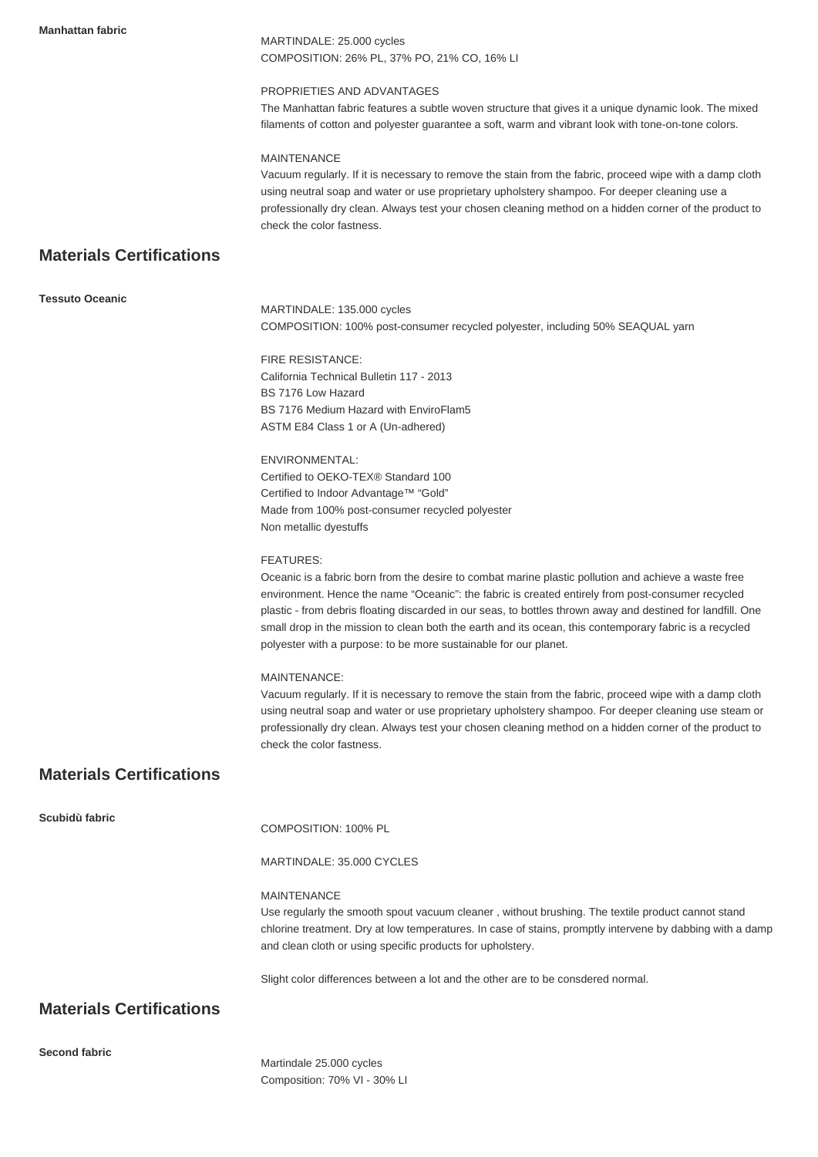**Manhattan fabric**

MARTINDALE: 25.000 cycles COMPOSITION: 26% PL, 37% PO, 21% CO, 16% LI

### PROPRIETIES AND ADVANTAGES

The Manhattan fabric features a subtle woven structure that gives it a unique dynamic look. The mixed filaments of cotton and polyester guarantee a soft, warm and vibrant look with tone-on-tone colors.

### MAINTENANCE

Vacuum regularly. If it is necessary to remove the stain from the fabric, proceed wipe with a damp cloth using neutral soap and water or use proprietary upholstery shampoo. For deeper cleaning use a professionally dry clean. Always test your chosen cleaning method on a hidden corner of the product to check the color fastness.

# **Materials Certifications**

| <b>Tessuto Oceanic</b> |  |
|------------------------|--|
|                        |  |

MARTINDALE: 135.000 cycles COMPOSITION: 100% post-consumer recycled polyester, including 50% SEAQUAL yarn

FIRE RESISTANCE: California Technical Bulletin 117 - 2013 BS 7176 Low Hazard BS 7176 Medium Hazard with EnviroFlam5 ASTM E84 Class 1 or A (Un-adhered)

ENVIRONMENTAL: Certified to OEKO-TEX® Standard 100 Certified to Indoor Advantage™ "Gold" Made from 100% post-consumer recycled polyester Non metallic dyestuffs

### FEATURES:

Oceanic is a fabric born from the desire to combat marine plastic pollution and achieve a waste free environment. Hence the name "Oceanic": the fabric is created entirely from post-consumer recycled plastic - from debris floating discarded in our seas, to bottles thrown away and destined for landfill. One small drop in the mission to clean both the earth and its ocean, this contemporary fabric is a recycled polyester with a purpose: to be more sustainable for our planet.

### MAINTENANCE:

Vacuum regularly. If it is necessary to remove the stain from the fabric, proceed wipe with a damp cloth using neutral soap and water or use proprietary upholstery shampoo. For deeper cleaning use steam or professionally dry clean. Always test your chosen cleaning method on a hidden corner of the product to check the color fastness.

# **Materials Certifications**

| Scubidù fabric | COMPOSITION: 100% PL                                                                                                                                                                                                                                                                               |
|----------------|----------------------------------------------------------------------------------------------------------------------------------------------------------------------------------------------------------------------------------------------------------------------------------------------------|
|                | MARTINDALE: 35,000 CYCLES                                                                                                                                                                                                                                                                          |
|                | <b>MAINTENANCE</b><br>Use regularly the smooth spout vacuum cleaner, without brushing. The textile product cannot stand<br>chlorine treatment. Dry at low temperatures. In case of stains, promptly intervene by dabbing with a damp<br>and clean cloth or using specific products for upholstery. |
|                | Slight color differences between a lot and the other are to be consdered normal.                                                                                                                                                                                                                   |

**Materials Certifications**

**Second fabric**

Martindale 25.000 cycles Composition: 70% VI - 30% LI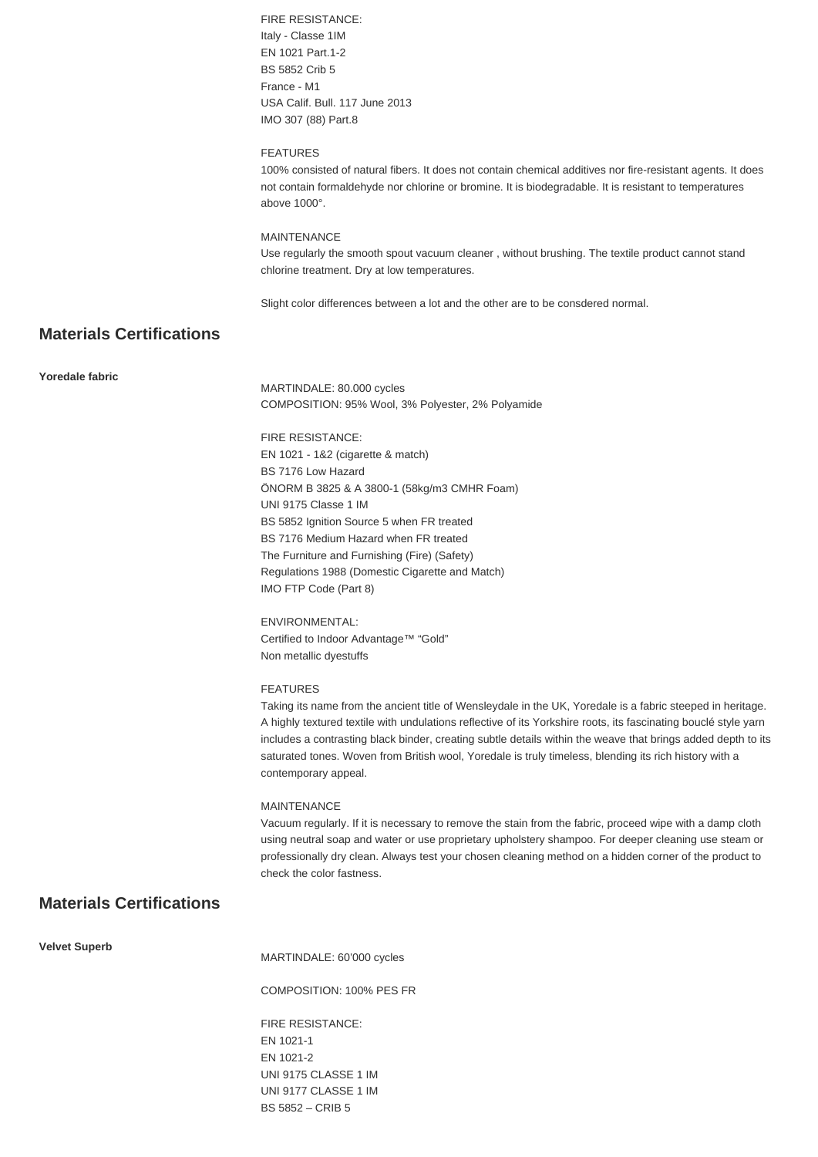FIRE RESISTANCE: Italy - Classe 1IM EN 1021 Part.1-2 BS 5852 Crib 5 France - M1 USA Calif. Bull. 117 June 2013 IMO 307 (88) Part.8

### **FEATURES**

100% consisted of natural fibers. It does not contain chemical additives nor fire-resistant agents. It does not contain formaldehyde nor chlorine or bromine. It is biodegradable. It is resistant to temperatures above 1000°.

### MAINTENANCE

Use regularly the smooth spout vacuum cleaner , without brushing. The textile product cannot stand chlorine treatment. Dry at low temperatures.

Slight color differences between a lot and the other are to be consdered normal.

# **Materials Certifications**

### **Yoredale fabric**

MARTINDALE: 80.000 cycles COMPOSITION: 95% Wool, 3% Polyester, 2% Polyamide

FIRE RESISTANCE: EN 1021 - 1&2 (cigarette & match) BS 7176 Low Hazard ÖNORM B 3825 & A 3800-1 (58kg/m3 CMHR Foam) UNI 9175 Classe 1 IM BS 5852 Ignition Source 5 when FR treated BS 7176 Medium Hazard when FR treated The Furniture and Furnishing (Fire) (Safety) Regulations 1988 (Domestic Cigarette and Match) IMO FTP Code (Part 8)

ENVIRONMENTAL: Certified to Indoor Advantage™ "Gold" Non metallic dyestuffs

### FEATURES

Taking its name from the ancient title of Wensleydale in the UK, Yoredale is a fabric steeped in heritage. A highly textured textile with undulations reflective of its Yorkshire roots, its fascinating bouclé style yarn includes a contrasting black binder, creating subtle details within the weave that brings added depth to its saturated tones. Woven from British wool, Yoredale is truly timeless, blending its rich history with a contemporary appeal.

### MAINTENANCE

Vacuum regularly. If it is necessary to remove the stain from the fabric, proceed wipe with a damp cloth using neutral soap and water or use proprietary upholstery shampoo. For deeper cleaning use steam or professionally dry clean. Always test your chosen cleaning method on a hidden corner of the product to check the color fastness.

### **Materials Certifications**

**Velvet Superb**

MARTINDALE: 60'000 cycles

COMPOSITION: 100% PES FR

FIRE RESISTANCE: EN 1021-1 EN 1021-2 UNI 9175 CLASSE 1 IM UNI 9177 CLASSE 1 IM BS 5852 – CRIB 5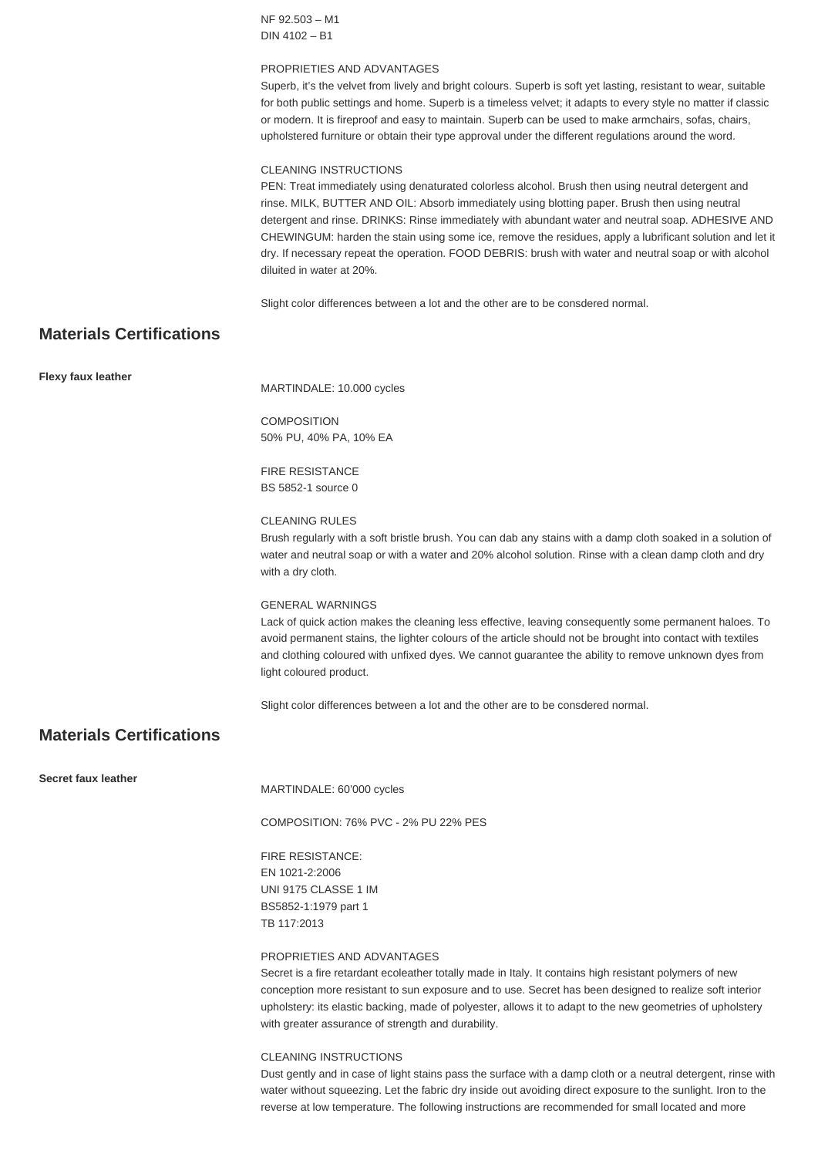NF 92.503 – M1 DIN 4102 – B1

### PROPRIETIES AND ADVANTAGES

Superb, it's the velvet from lively and bright colours. Superb is soft yet lasting, resistant to wear, suitable for both public settings and home. Superb is a timeless velvet; it adapts to every style no matter if classic or modern. It is fireproof and easy to maintain. Superb can be used to make armchairs, sofas, chairs, upholstered furniture or obtain their type approval under the different regulations around the word.

### CLEANING INSTRUCTIONS

PEN: Treat immediately using denaturated colorless alcohol. Brush then using neutral detergent and rinse. MILK, BUTTER AND OIL: Absorb immediately using blotting paper. Brush then using neutral detergent and rinse. DRINKS: Rinse immediately with abundant water and neutral soap. ADHESIVE AND CHEWINGUM: harden the stain using some ice, remove the residues, apply a lubrificant solution and let it dry. If necessary repeat the operation. FOOD DEBRIS: brush with water and neutral soap or with alcohol diluited in water at 20%.

Slight color differences between a lot and the other are to be consdered normal.

### **Materials Certifications**

**Flexy faux leather**

MARTINDALE: 10.000 cycles

COMPOSITION 50% PU, 40% PA, 10% EA

FIRE RESISTANCE BS 5852-1 source 0

### CLEANING RULES

Brush regularly with a soft bristle brush. You can dab any stains with a damp cloth soaked in a solution of water and neutral soap or with a water and 20% alcohol solution. Rinse with a clean damp cloth and dry with a dry cloth.

### GENERAL WARNINGS

Lack of quick action makes the cleaning less effective, leaving consequently some permanent haloes. To avoid permanent stains, the lighter colours of the article should not be brought into contact with textiles and clothing coloured with unfixed dyes. We cannot guarantee the ability to remove unknown dyes from light coloured product.

Slight color differences between a lot and the other are to be consdered normal.

# **Materials Certifications**

**Secret faux leather**

MARTINDALE: 60'000 cycles

COMPOSITION: 76% PVC - 2% PU 22% PES

FIRE RESISTANCE: EN 1021-2:2006 UNI 9175 CLASSE 1 IM BS5852-1:1979 part 1 TB 117:2013

### PROPRIETIES AND ADVANTAGES

Secret is a fire retardant ecoleather totally made in Italy. It contains high resistant polymers of new conception more resistant to sun exposure and to use. Secret has been designed to realize soft interior upholstery: its elastic backing, made of polyester, allows it to adapt to the new geometries of upholstery with greater assurance of strength and durability.

### CLEANING INSTRUCTIONS

Dust gently and in case of light stains pass the surface with a damp cloth or a neutral detergent, rinse with water without squeezing. Let the fabric dry inside out avoiding direct exposure to the sunlight. Iron to the reverse at low temperature. The following instructions are recommended for small located and more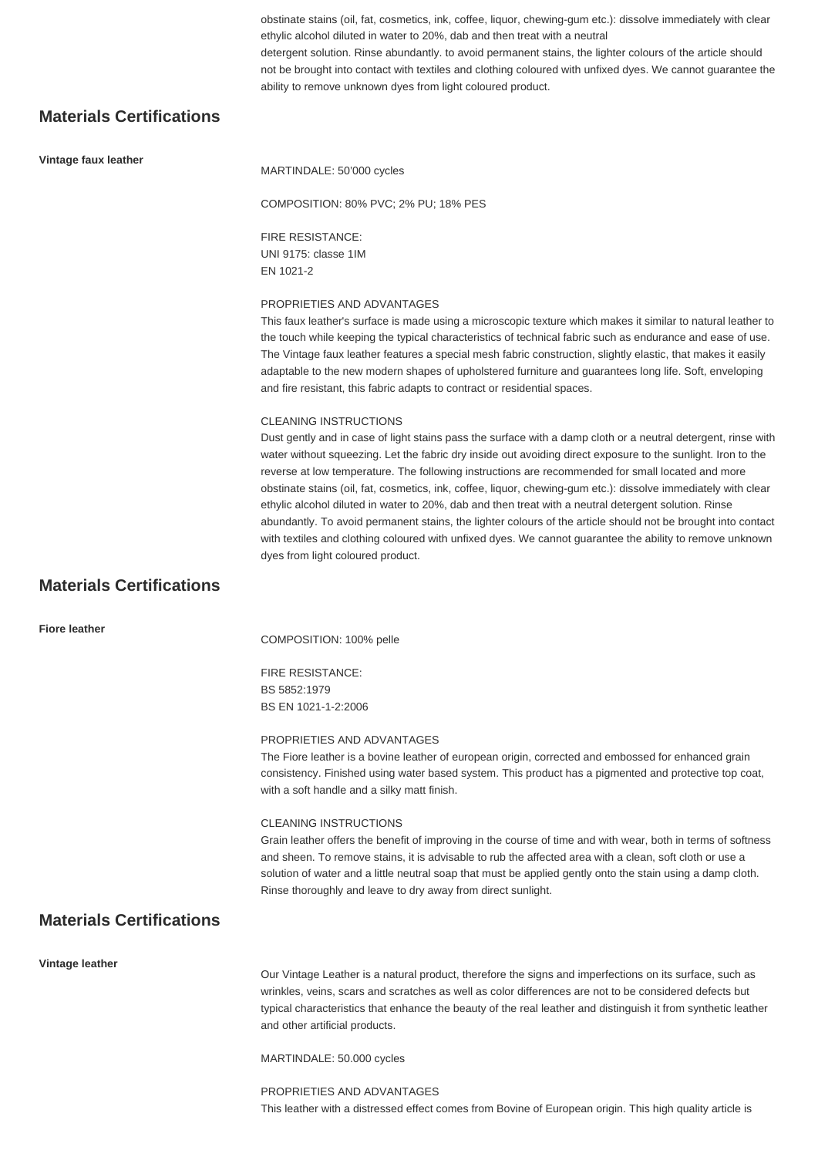obstinate stains (oil, fat, cosmetics, ink, coffee, liquor, chewing-gum etc.): dissolve immediately with clear ethylic alcohol diluted in water to 20%, dab and then treat with a neutral detergent solution. Rinse abundantly. to avoid permanent stains, the lighter colours of the article should not be brought into contact with textiles and clothing coloured with unfixed dyes. We cannot guarantee the ability to remove unknown dyes from light coloured product.

# **Materials Certifications**

### **Vintage faux leather**

MARTINDALE: 50'000 cycles

COMPOSITION: 80% PVC; 2% PU; 18% PES

FIRE RESISTANCE: UNI 9175: classe 1IM EN 1021-2

#### PROPRIETIES AND ADVANTAGES

This faux leather's surface is made using a microscopic texture which makes it similar to natural leather to the touch while keeping the typical characteristics of technical fabric such as endurance and ease of use. The Vintage faux leather features a special mesh fabric construction, slightly elastic, that makes it easily adaptable to the new modern shapes of upholstered furniture and guarantees long life. Soft, enveloping and fire resistant, this fabric adapts to contract or residential spaces.

### CLEANING INSTRUCTIONS

Dust gently and in case of light stains pass the surface with a damp cloth or a neutral detergent, rinse with water without squeezing. Let the fabric dry inside out avoiding direct exposure to the sunlight. Iron to the reverse at low temperature. The following instructions are recommended for small located and more obstinate stains (oil, fat, cosmetics, ink, coffee, liquor, chewing-gum etc.): dissolve immediately with clear ethylic alcohol diluted in water to 20%, dab and then treat with a neutral detergent solution. Rinse abundantly. To avoid permanent stains, the lighter colours of the article should not be brought into contact with textiles and clothing coloured with unfixed dyes. We cannot guarantee the ability to remove unknown dyes from light coloured product.

# **Materials Certifications**

| <b>Fiore leather</b>            | COMPOSITION: 100% pelle                                                                                                                                                                                                                                                                                                                                                                                                               |
|---------------------------------|---------------------------------------------------------------------------------------------------------------------------------------------------------------------------------------------------------------------------------------------------------------------------------------------------------------------------------------------------------------------------------------------------------------------------------------|
|                                 | <b>FIRE RESISTANCE:</b><br>BS 5852:1979<br>BS EN 1021-1-2:2006                                                                                                                                                                                                                                                                                                                                                                        |
|                                 | PROPRIETIES AND ADVANTAGES<br>The Fiore leather is a bovine leather of european origin, corrected and embossed for enhanced grain<br>consistency. Finished using water based system. This product has a pigmented and protective top coat,<br>with a soft handle and a silky matt finish.                                                                                                                                             |
|                                 | <b>CLEANING INSTRUCTIONS</b><br>Grain leather offers the benefit of improving in the course of time and with wear, both in terms of softness<br>and sheen. To remove stains, it is advisable to rub the affected area with a clean, soft cloth or use a<br>solution of water and a little neutral soap that must be applied gently onto the stain using a damp cloth.<br>Rinse thoroughly and leave to dry away from direct sunlight. |
| <b>Materials Certifications</b> |                                                                                                                                                                                                                                                                                                                                                                                                                                       |
| Vintage leather                 | Our Vintage Leather is a natural product, therefore the signs and imperfections on its surface, such as<br>wrinkles, veins, scars and scratches as well as color differences are not to be considered defects but<br>typical characteristics that enhance the beauty of the real leather and distinguish it from synthetic leather<br>and other artificial products.<br>MARTINDALE: 50.000 cycles                                     |
|                                 |                                                                                                                                                                                                                                                                                                                                                                                                                                       |

PROPRIETIES AND ADVANTAGES This leather with a distressed effect comes from Bovine of European origin. This high quality article is